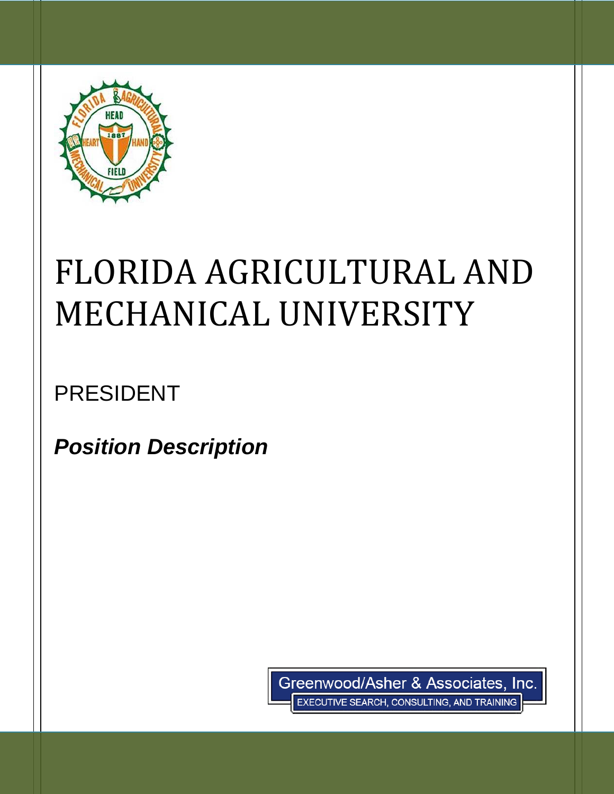

# FLORIDA AGRICULTURAL AND MECHANICAL UNIVERSITY

PRESIDENT

*Position Description*

Greenwood/Asher & Associates, Inc. EXECUTIVE SEARCH, CONSULTING, AND TRAINING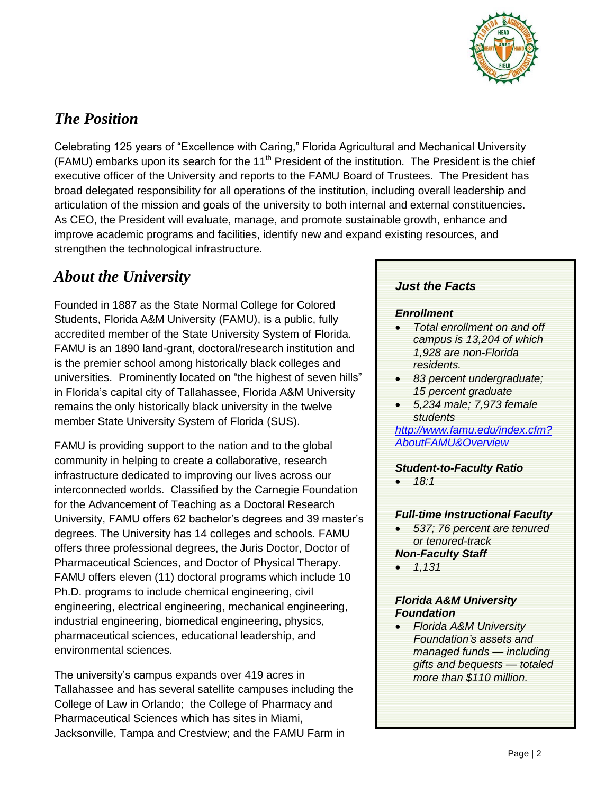

# *The Position*

Celebrating 125 years of "Excellence with Caring," Florida Agricultural and Mechanical University (FAMU) embarks upon its search for the 11<sup>th</sup> President of the institution. The President is the chief executive officer of the University and reports to the FAMU Board of Trustees. The President has broad delegated responsibility for all operations of the institution, including overall leadership and articulation of the mission and goals of the university to both internal and external constituencies. As CEO, the President will evaluate, manage, and promote sustainable growth, enhance and improve academic programs and facilities, identify new and expand existing resources, and strengthen the technological infrastructure.

# *About the University*

Founded in 1887 as the State Normal College for Colored Students, Florida A&M University (FAMU), is a public, fully accredited member of the State University System of Florida. FAMU is an 1890 land-grant, doctoral/research institution and is the premier school among historically black colleges and universities. Prominently located on "the highest of seven hills" in Florida's capital city of Tallahassee, Florida A&M University remains the only historically black university in the twelve member State University System of Florida (SUS).

FAMU is providing support to the nation and to the global community in helping to create a collaborative, research infrastructure dedicated to improving our lives across our interconnected worlds. Classified by the Carnegie Foundation for the Advancement of Teaching as a Doctoral Research University, FAMU offers 62 bachelor's degrees and 39 master's degrees. The University has 14 colleges and schools. FAMU offers three professional degrees, the Juris Doctor, Doctor of Pharmaceutical Sciences, and Doctor of Physical Therapy. FAMU offers eleven (11) doctoral programs which include 10 Ph.D. programs to include chemical engineering, civil engineering, electrical engineering, mechanical engineering, industrial engineering, biomedical engineering, physics, pharmaceutical sciences, educational leadership, and environmental sciences.

The university's campus expands over 419 acres in Tallahassee and has several satellite campuses including the College of Law in Orlando; the College of Pharmacy and Pharmaceutical Sciences which has sites in Miami, Jacksonville, Tampa and Crestview; and the FAMU Farm in

## *Just the Facts*

#### *Enrollment*

- *Total enrollment on and off campus is 13,204 of which 1,928 are non-Florida residents.*
- *83 percent undergraduate; 15 percent graduate*
- *5,234 male; 7,973 female students*

*[http://www.famu.edu/index.cfm?](http://www.famu.edu/index.cfm?AboutFAMU&Overview) [AboutFAMU&Overview](http://www.famu.edu/index.cfm?AboutFAMU&Overview)*

## *Student-to-Faculty Ratio*

*18:1*

## *Full-time Instructional Faculty*

- *537; 76 percent are tenured or tenured-track Non-Faculty Staff*
- *1,131*

## *Florida A&M University Foundation*

 *Florida A&M University Foundation's assets and managed funds — including gifts and bequests — totaled more than \$110 million.*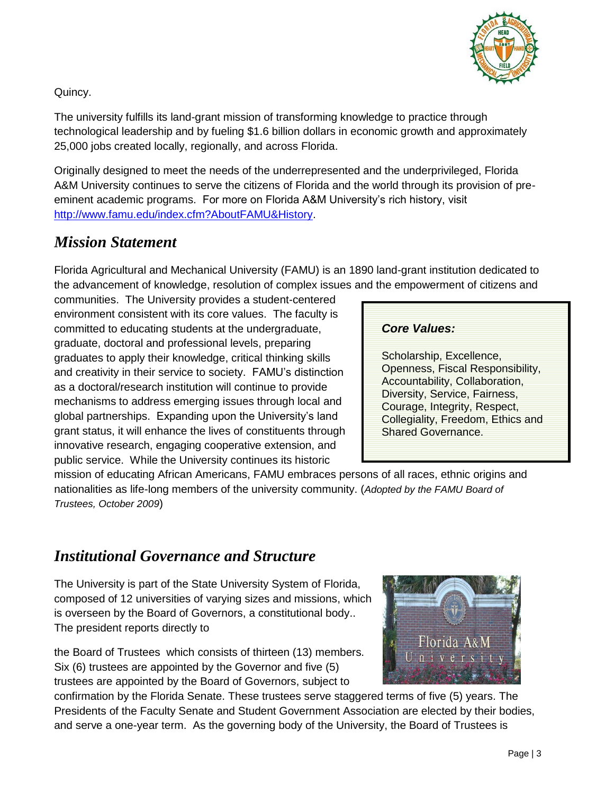

Quincy.

The university fulfills its land-grant mission of transforming knowledge to practice through technological leadership and by fueling \$1.6 billion dollars in economic growth and approximately 25,000 jobs created locally, regionally, and across Florida.

Originally designed to meet the needs of the underrepresented and the underprivileged, Florida A&M University continues to serve the citizens of Florida and the world through its provision of preeminent academic programs. For more on Florida A&M University's rich history, visit [http://www.famu.edu/index.cfm?AboutFAMU&History.](http://www.famu.edu/index.cfm?AboutFAMU&History)

## *Mission Statement*

Florida Agricultural and Mechanical University (FAMU) is an 1890 land-grant institution dedicated to the advancement of knowledge, resolution of complex issues and the empowerment of citizens and

communities. The University provides a student-centered environment consistent with its core values. The faculty is committed to educating students at the undergraduate, graduate, doctoral and professional levels, preparing graduates to apply their knowledge, critical thinking skills and creativity in their service to society. FAMU's distinction as a doctoral/research institution will continue to provide mechanisms to address emerging issues through local and global partnerships. Expanding upon the University's land grant status, it will enhance the lives of constituents through innovative research, engaging cooperative extension, and public service. While the University continues its historic

## *Core Values:*

Scholarship, Excellence, Openness, Fiscal Responsibility, Accountability, Collaboration, Diversity, Service, Fairness, Courage, Integrity, Respect, Collegiality, Freedom, Ethics and Shared Governance.

mission of educating African Americans, FAMU embraces persons of all races, ethnic origins and nationalities as life-long members of the university community. (*Adopted by the FAMU Board of Trustees, October 2009*)

# *Institutional Governance and Structure*

The University is part of the State University System of Florida, composed of 12 universities of varying sizes and missions, which is overseen by the Board of Governors, a constitutional body.. The president reports directly to

the Board of Trustees which consists of thirteen (13) members. Six (6) trustees are appointed by the Governor and five (5) trustees are appointed by the Board of Governors, subject to

confirmation by the Florida Senate. These trustees serve staggered terms of five (5) years. The Presidents of the Faculty Senate and Student Government Association are elected by their bodies, and serve a one-year term. As the governing body of the University, the Board of Trustees is

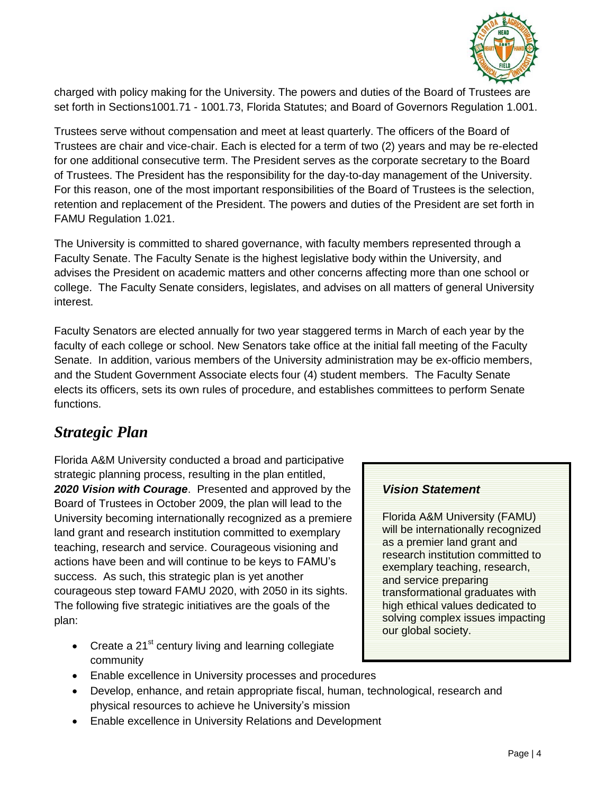

charged with policy making for the University. The powers and duties of the Board of Trustees are set forth in Sections1001.71 - 1001.73, Florida Statutes; and Board of Governors Regulation 1.001.

Trustees serve without compensation and meet at least quarterly. The officers of the Board of Trustees are chair and vice-chair. Each is elected for a term of two (2) years and may be re-elected for one additional consecutive term. The President serves as the corporate secretary to the Board of Trustees. The President has the responsibility for the day-to-day management of the University. For this reason, one of the most important responsibilities of the Board of Trustees is the selection, retention and replacement of the President. The powers and duties of the President are set forth in FAMU Regulation 1.021.

The University is committed to shared governance, with faculty members represented through a Faculty Senate. The Faculty Senate is the highest legislative body within the University, and advises the President on academic matters and other concerns affecting more than one school or college. The Faculty Senate considers, legislates, and advises on all matters of general University interest.

Faculty Senators are elected annually for two year staggered terms in March of each year by the faculty of each college or school. New Senators take office at the initial fall meeting of the Faculty Senate. In addition, various members of the University administration may be ex-officio members, and the Student Government Associate elects four (4) student members. The Faculty Senate elects its officers, sets its own rules of procedure, and establishes committees to perform Senate functions.

## *Strategic Plan*

Florida A&M University conducted a broad and participative strategic planning process, resulting in the plan entitled, *2020 Vision with Courage*. Presented and approved by the Board of Trustees in October 2009, the plan will lead to the University becoming internationally recognized as a premiere land grant and research institution committed to exemplary teaching, research and service. Courageous visioning and actions have been and will continue to be keys to FAMU's success. As such, this strategic plan is yet another courageous step toward FAMU 2020, with 2050 in its sights. The following five strategic initiatives are the goals of the plan:

- Create a  $21^{st}$  century living and learning collegiate community
- Enable excellence in University processes and procedures
- Develop, enhance, and retain appropriate fiscal, human, technological, research and physical resources to achieve he University's mission
- Enable excellence in University Relations and Development

## *Vision Statement*

Florida A&M University (FAMU) will be internationally recognized as a premier land grant and research institution committed to exemplary teaching, research, and service preparing transformational graduates with high ethical values dedicated to solving complex issues impacting our global society.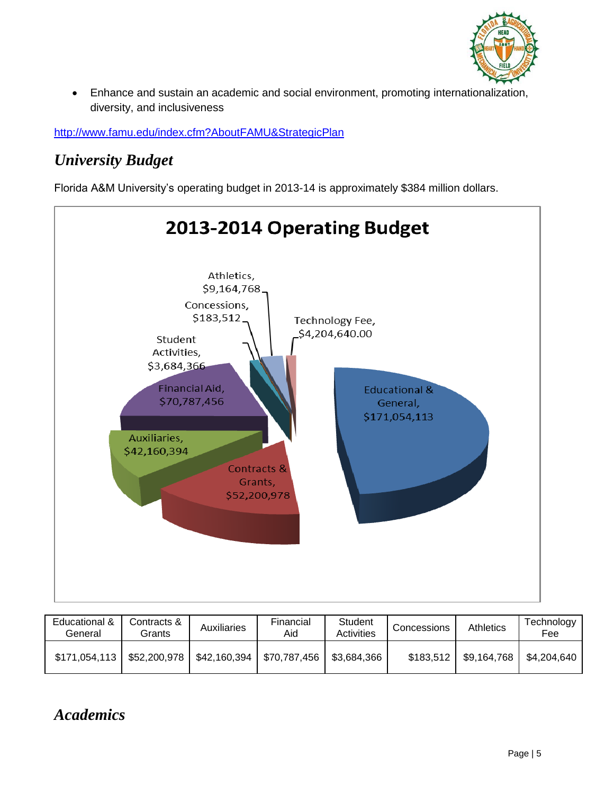

 Enhance and sustain an academic and social environment, promoting internationalization, diversity, and inclusiveness

<http://www.famu.edu/index.cfm?AboutFAMU&StrategicPlan>

# *University Budget*

Florida A&M University's operating budget in 2013-14 is approximately \$384 million dollars.



| Educational &<br>General | Contracts &<br>Grants | <b>Auxiliaries</b> | Financial<br>Aid             | Student<br><b>Activities</b> | Concessions | <b>Athletics</b> | Technology<br>Fee |
|--------------------------|-----------------------|--------------------|------------------------------|------------------------------|-------------|------------------|-------------------|
| \$171,054,113            | \$52,200,978          |                    | $$42,160,394$   \$70,787,456 | \$3,684,366                  | \$183,512   | \$9,164,768      | \$4,204,640       |

# *Academics*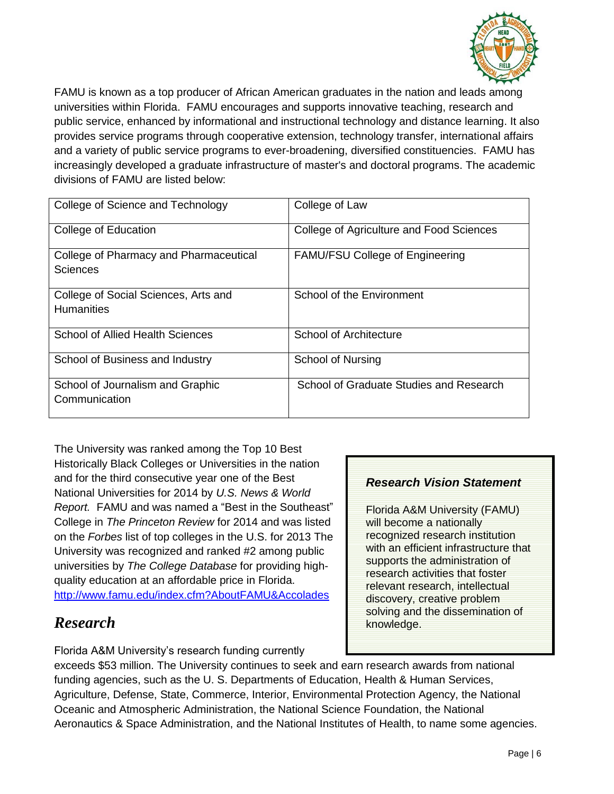

FAMU is known as a top producer of African American graduates in the nation and leads among universities within Florida. FAMU encourages and supports innovative teaching, research and public service, enhanced by informational and instructional technology and distance learning. It also provides service programs through cooperative extension, technology transfer, international affairs and a variety of public service programs to ever-broadening, diversified constituencies. FAMU has increasingly developed a graduate infrastructure of master's and doctoral programs. The academic divisions of FAMU are listed below:

| College of Science and Technology                         | College of Law                           |
|-----------------------------------------------------------|------------------------------------------|
| College of Education                                      | College of Agriculture and Food Sciences |
| College of Pharmacy and Pharmaceutical<br>Sciences        | <b>FAMU/FSU College of Engineering</b>   |
| College of Social Sciences, Arts and<br><b>Humanities</b> | School of the Environment                |
| <b>School of Allied Health Sciences</b>                   | <b>School of Architecture</b>            |
| School of Business and Industry                           | <b>School of Nursing</b>                 |
| School of Journalism and Graphic<br>Communication         | School of Graduate Studies and Research  |

The University was ranked among the Top 10 Best Historically Black Colleges or Universities in the nation and for the third consecutive year one of the Best National Universities for 2014 by *U.S. News & World Report.* FAMU and was named a "Best in the Southeast" College in *The Princeton Review* for 2014 and was listed on the *Forbes* list of top colleges in the U.S. for 2013 The University was recognized and ranked #2 among public universities by *The College Database* for providing highquality education at an affordable price in Florida. <http://www.famu.edu/index.cfm?AboutFAMU&Accolades>

## *Research*

Florida A&M University's research funding currently

## *Research Vision Statement*

Florida A&M University (FAMU) will become a nationally recognized research institution with an efficient infrastructure that supports the administration of research activities that foster relevant research, intellectual discovery, creative problem solving and the dissemination of knowledge.

exceeds \$53 million. The University continues to seek and earn research awards from national funding agencies, such as the U. S. Departments of Education, Health & Human Services, Agriculture, Defense, State, Commerce, Interior, Environmental Protection Agency, the National Oceanic and Atmospheric Administration, the National Science Foundation, the National Aeronautics & Space Administration, and the National Institutes of Health, to name some agencies.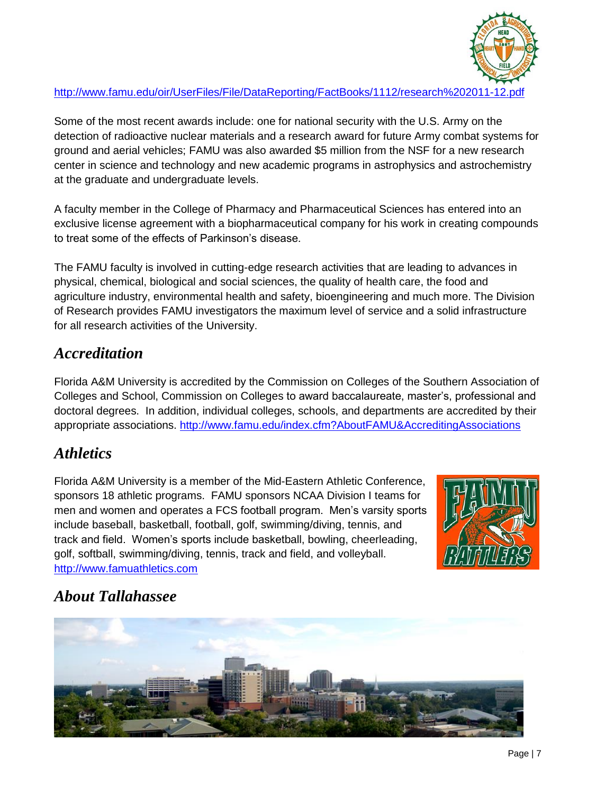

## <http://www.famu.edu/oir/UserFiles/File/DataReporting/FactBooks/1112/research%202011-12.pdf>

Some of the most recent awards include: one for national security with the U.S. Army on the detection of radioactive nuclear materials and a research award for future Army combat systems for ground and aerial vehicles; FAMU was also awarded \$5 million from the NSF for a new research center in science and technology and new academic programs in astrophysics and astrochemistry at the graduate and undergraduate levels.

A faculty member in the College of Pharmacy and Pharmaceutical Sciences has entered into an exclusive license agreement with a biopharmaceutical company for his work in creating compounds to treat some of the effects of Parkinson's disease.

The FAMU faculty is involved in cutting-edge research activities that are leading to advances in physical, chemical, biological and social sciences, the quality of health care, the food and agriculture industry, environmental health and safety, bioengineering and much more. The Division of Research provides FAMU investigators the maximum level of service and a solid infrastructure for all research activities of the University.

## *Accreditation*

Florida A&M University is accredited by the Commission on Colleges of the Southern Association of Colleges and School, Commission on Colleges to award baccalaureate, master's, professional and doctoral degrees. In addition, individual colleges, schools, and departments are accredited by their appropriate associations.<http://www.famu.edu/index.cfm?AboutFAMU&AccreditingAssociations>

## *Athletics*

Florida A&M University is a member of the Mid-Eastern Athletic Conference, sponsors 18 athletic programs. FAMU sponsors NCAA Division I teams for men and women and operates a FCS football program. Men's varsity sports include baseball, basketball, football, golf, swimming/diving, tennis, and track and field. Women's sports include basketball, bowling, cheerleading, golf, softball, swimming/diving, tennis, track and field, and volleyball. [http://www.famuathletics.com](http://www.famuathletics.com/) 



## *About Tallahassee*

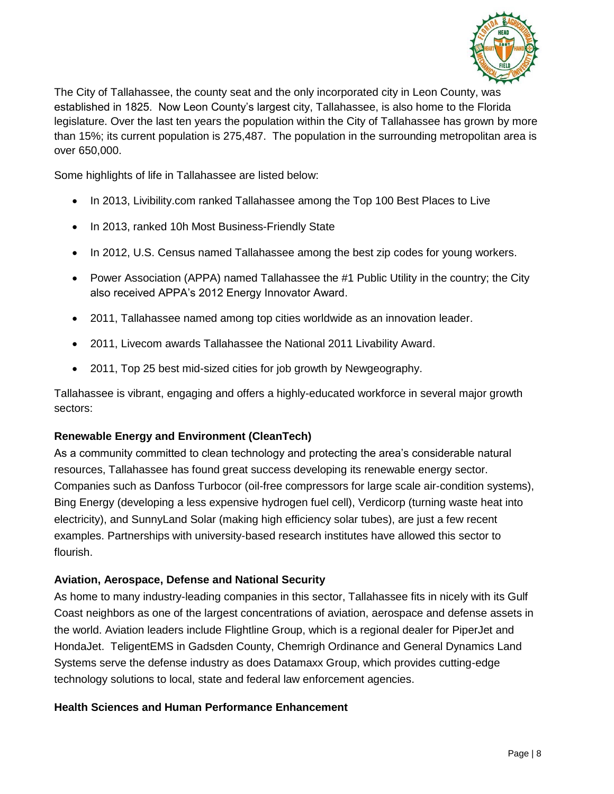

The City of Tallahassee, the county seat and the only incorporated city in Leon County, was established in 1825. Now Leon County's largest city, Tallahassee, is also home to the Florida legislature. Over the last ten years the population within the City of Tallahassee has grown by more than 15%; its current population is 275,487. The population in the surrounding metropolitan area is over 650,000.

Some highlights of life in Tallahassee are listed below:

- In 2013, Livibility.com ranked Tallahassee among the Top 100 Best Places to Live
- In 2013, ranked 10h Most Business-Friendly State
- In 2012, U.S. Census named Tallahassee among the best zip codes for young workers.
- Power Association (APPA) named Tallahassee the #1 Public Utility in the country; the City also received APPA's 2012 Energy Innovator Award.
- 2011, Tallahassee named among top cities worldwide as an innovation leader.
- 2011, Livecom awards Tallahassee the National 2011 Livability Award.
- 2011, Top 25 best mid-sized cities for job growth by Newgeography.

Tallahassee is vibrant, engaging and offers a highly-educated workforce in several major growth sectors:

## **Renewable Energy and Environment (CleanTech)**

As a community committed to clean technology and protecting the area's considerable natural resources, Tallahassee has found great success developing its renewable energy sector. Companies such as Danfoss Turbocor (oil-free compressors for large scale air-condition systems), Bing Energy (developing a less expensive hydrogen fuel cell), Verdicorp (turning waste heat into electricity), and SunnyLand Solar (making high efficiency solar tubes), are just a few recent examples. Partnerships with university-based research institutes have allowed this sector to flourish.

#### **Aviation, Aerospace, Defense and National Security**

As home to many industry-leading companies in this sector, Tallahassee fits in nicely with its Gulf Coast neighbors as one of the largest concentrations of aviation, aerospace and defense assets in the world. Aviation leaders include Flightline Group, which is a regional dealer for PiperJet and HondaJet. TeligentEMS in Gadsden County, Chemrigh Ordinance and General Dynamics Land Systems serve the defense industry as does Datamaxx Group, which provides cutting-edge technology solutions to local, state and federal law enforcement agencies.

#### **Health Sciences and Human Performance Enhancement**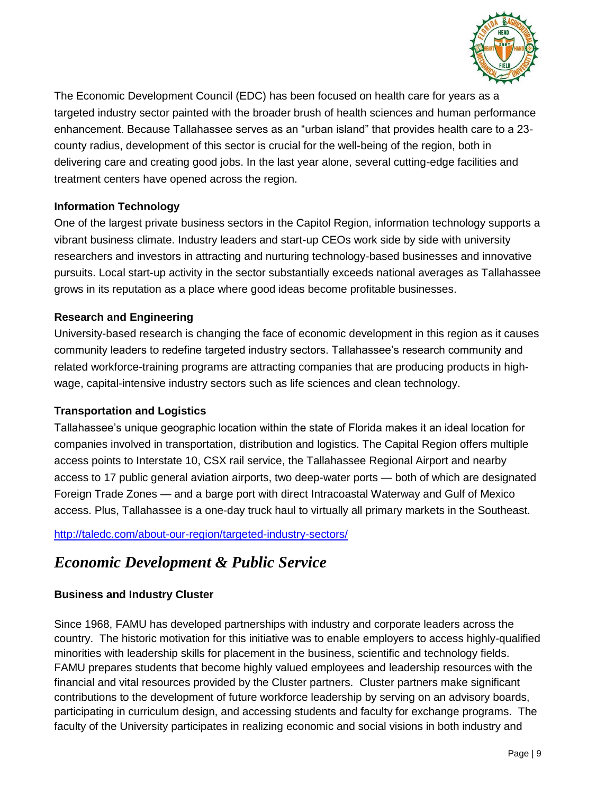

The Economic Development Council (EDC) has been focused on health care for years as a targeted industry sector painted with the broader brush of health sciences and human performance enhancement. Because Tallahassee serves as an "urban island" that provides health care to a 23 county radius, development of this sector is crucial for the well-being of the region, both in delivering care and creating good jobs. In the last year alone, several cutting-edge facilities and treatment centers have opened across the region.

## **Information Technology**

One of the largest private business sectors in the Capitol Region, information technology supports a vibrant business climate. Industry leaders and start-up CEOs work side by side with university researchers and investors in attracting and nurturing technology-based businesses and innovative pursuits. Local start-up activity in the sector substantially exceeds national averages as Tallahassee grows in its reputation as a place where good ideas become profitable businesses.

## **Research and Engineering**

University-based research is changing the face of economic development in this region as it causes community leaders to redefine targeted industry sectors. Tallahassee's research community and related workforce-training programs are attracting companies that are producing products in highwage, capital-intensive industry sectors such as life sciences and clean technology.

## **Transportation and Logistics**

Tallahassee's unique geographic location within the state of Florida makes it an ideal location for companies involved in transportation, distribution and logistics. The Capital Region offers multiple access points to Interstate 10, CSX rail service, the Tallahassee Regional Airport and nearby access to 17 public general aviation airports, two deep-water ports — both of which are designated Foreign Trade Zones — and a barge port with direct Intracoastal Waterway and Gulf of Mexico access. Plus, Tallahassee is a one-day truck haul to virtually all primary markets in the Southeast.

<http://taledc.com/about-our-region/targeted-industry-sectors/>

## *Economic Development & Public Service*

## **Business and Industry Cluster**

Since 1968, FAMU has developed partnerships with industry and corporate leaders across the country. The historic motivation for this initiative was to enable employers to access highly-qualified minorities with leadership skills for placement in the business, scientific and technology fields. FAMU prepares students that become highly valued employees and leadership resources with the financial and vital resources provided by the Cluster partners. Cluster partners make significant contributions to the development of future workforce leadership by serving on an advisory boards, participating in curriculum design, and accessing students and faculty for exchange programs. The faculty of the University participates in realizing economic and social visions in both industry and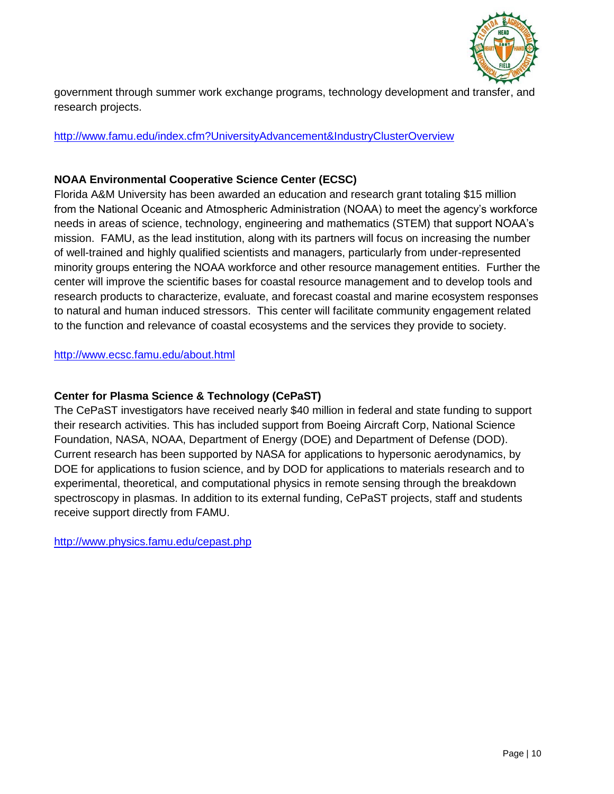

government through summer work exchange programs, technology development and transfer, and research projects.

#### <http://www.famu.edu/index.cfm?UniversityAdvancement&IndustryClusterOverview>

#### **NOAA Environmental Cooperative Science Center (ECSC)**

Florida A&M University has been awarded an education and research grant totaling \$15 million from the National Oceanic and Atmospheric Administration (NOAA) to meet the agency's workforce needs in areas of science, technology, engineering and mathematics (STEM) that support NOAA's mission. FAMU, as the lead institution, along with its partners will focus on increasing the number of well-trained and highly qualified scientists and managers, particularly from under-represented minority groups entering the NOAA workforce and other resource management entities. Further the center will improve the scientific bases for coastal resource management and to develop tools and research products to characterize, evaluate, and forecast coastal and marine ecosystem responses to natural and human induced stressors. This center will facilitate community engagement related to the function and relevance of coastal ecosystems and the services they provide to society.

#### <http://www.ecsc.famu.edu/about.html>

#### **Center for Plasma Science & Technology (CePaST)**

The CePaST investigators have received nearly \$40 million in federal and state funding to support their research activities. This has included support from Boeing Aircraft Corp, National Science Foundation, NASA, NOAA, Department of Energy (DOE) and Department of Defense (DOD). Current research has been supported by NASA for applications to hypersonic aerodynamics, by DOE for applications to fusion science, and by DOD for applications to materials research and to experimental, theoretical, and computational physics in remote sensing through the breakdown spectroscopy in plasmas. In addition to its external funding, CePaST projects, staff and students receive support directly from FAMU.

<http://www.physics.famu.edu/cepast.php>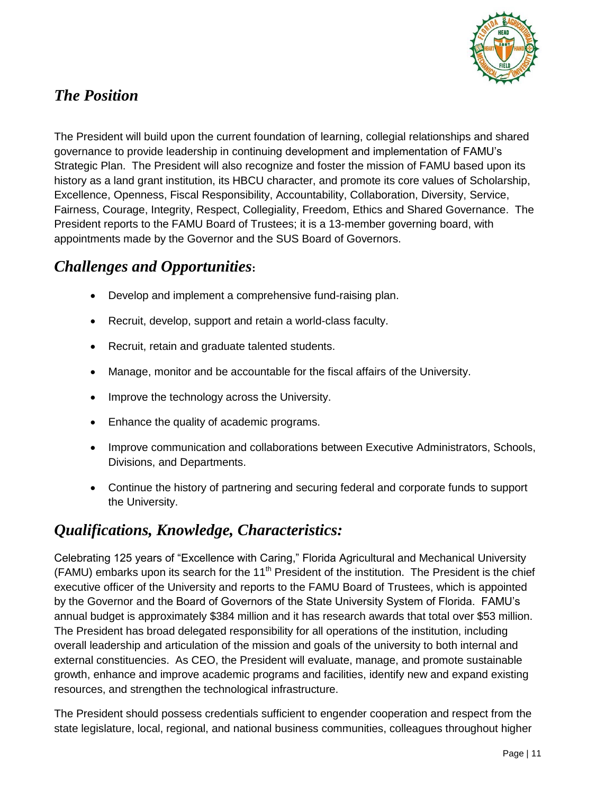

# *The Position*

The President will build upon the current foundation of learning, collegial relationships and shared governance to provide leadership in continuing development and implementation of FAMU's Strategic Plan. The President will also recognize and foster the mission of FAMU based upon its history as a land grant institution, its HBCU character, and promote its core values of Scholarship, Excellence, Openness, Fiscal Responsibility, Accountability, Collaboration, Diversity, Service, Fairness, Courage, Integrity, Respect, Collegiality, Freedom, Ethics and Shared Governance. The President reports to the FAMU Board of Trustees; it is a 13-member governing board, with appointments made by the Governor and the SUS Board of Governors.

## *Challenges and Opportunities***:**

- Develop and implement a comprehensive fund-raising plan.
- Recruit, develop, support and retain a world-class faculty.
- Recruit, retain and graduate talented students.
- Manage, monitor and be accountable for the fiscal affairs of the University.
- Improve the technology across the University.
- Enhance the quality of academic programs.
- Improve communication and collaborations between Executive Administrators, Schools, Divisions, and Departments.
- Continue the history of partnering and securing federal and corporate funds to support the University.

## *Qualifications, Knowledge, Characteristics:*

Celebrating 125 years of "Excellence with Caring," Florida Agricultural and Mechanical University (FAMU) embarks upon its search for the 11<sup>th</sup> President of the institution. The President is the chief executive officer of the University and reports to the FAMU Board of Trustees, which is appointed by the Governor and the Board of Governors of the State University System of Florida. FAMU's annual budget is approximately \$384 million and it has research awards that total over \$53 million. The President has broad delegated responsibility for all operations of the institution, including overall leadership and articulation of the mission and goals of the university to both internal and external constituencies. As CEO, the President will evaluate, manage, and promote sustainable growth, enhance and improve academic programs and facilities, identify new and expand existing resources, and strengthen the technological infrastructure.

The President should possess credentials sufficient to engender cooperation and respect from the state legislature, local, regional, and national business communities, colleagues throughout higher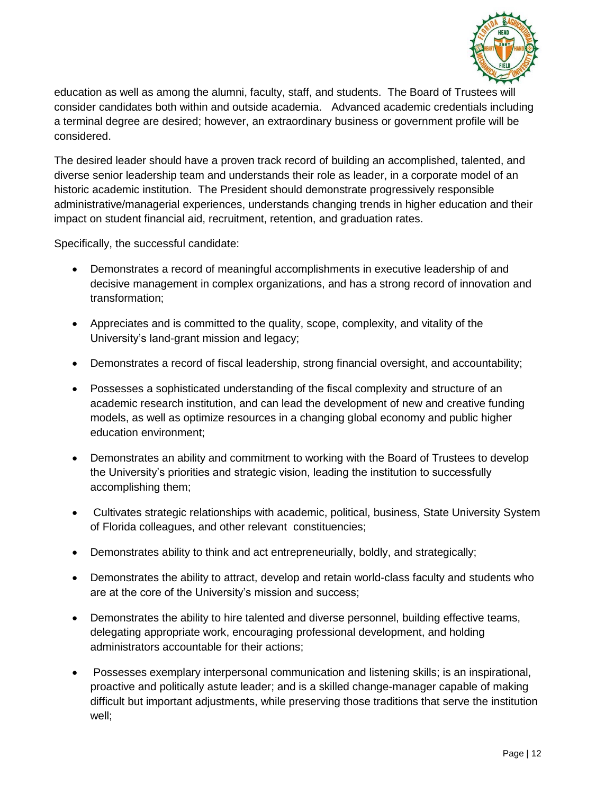

education as well as among the alumni, faculty, staff, and students. The Board of Trustees will consider candidates both within and outside academia. Advanced academic credentials including a terminal degree are desired; however, an extraordinary business or government profile will be considered.

The desired leader should have a proven track record of building an accomplished, talented, and diverse senior leadership team and understands their role as leader, in a corporate model of an historic academic institution. The President should demonstrate progressively responsible administrative/managerial experiences, understands changing trends in higher education and their impact on student financial aid, recruitment, retention, and graduation rates.

Specifically, the successful candidate:

- Demonstrates a record of meaningful accomplishments in executive leadership of and decisive management in complex organizations, and has a strong record of innovation and transformation;
- Appreciates and is committed to the quality, scope, complexity, and vitality of the University's land-grant mission and legacy;
- Demonstrates a record of fiscal leadership, strong financial oversight, and accountability;
- Possesses a sophisticated understanding of the fiscal complexity and structure of an academic research institution, and can lead the development of new and creative funding models, as well as optimize resources in a changing global economy and public higher education environment;
- Demonstrates an ability and commitment to working with the Board of Trustees to develop the University's priorities and strategic vision, leading the institution to successfully accomplishing them;
- Cultivates strategic relationships with academic, political, business, State University System of Florida colleagues, and other relevant constituencies;
- Demonstrates ability to think and act entrepreneurially, boldly, and strategically;
- Demonstrates the ability to attract, develop and retain world-class faculty and students who are at the core of the University's mission and success;
- Demonstrates the ability to hire talented and diverse personnel, building effective teams, delegating appropriate work, encouraging professional development, and holding administrators accountable for their actions;
- Possesses exemplary interpersonal communication and listening skills; is an inspirational, proactive and politically astute leader; and is a skilled change-manager capable of making difficult but important adjustments, while preserving those traditions that serve the institution well;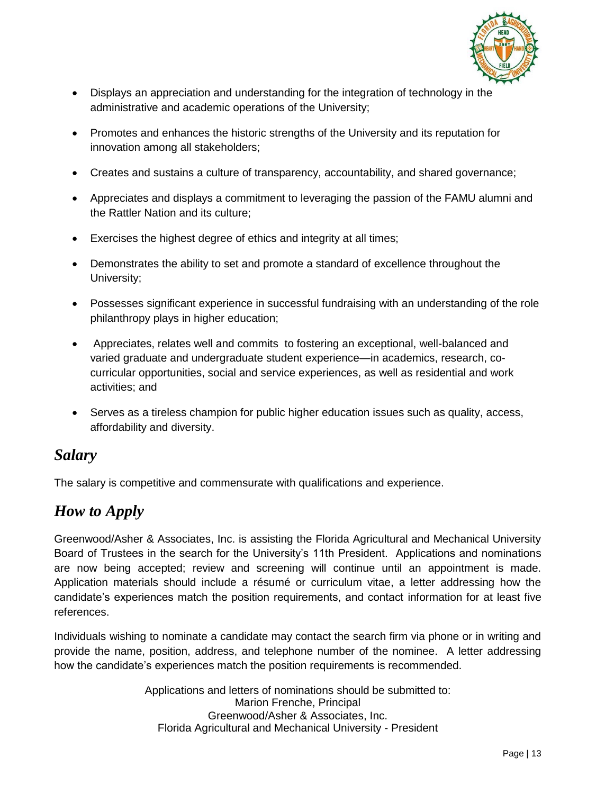

- Displays an appreciation and understanding for the integration of technology in the administrative and academic operations of the University;
- Promotes and enhances the historic strengths of the University and its reputation for innovation among all stakeholders;
- Creates and sustains a culture of transparency, accountability, and shared governance;
- Appreciates and displays a commitment to leveraging the passion of the FAMU alumni and the Rattler Nation and its culture;
- Exercises the highest degree of ethics and integrity at all times;
- Demonstrates the ability to set and promote a standard of excellence throughout the University;
- Possesses significant experience in successful fundraising with an understanding of the role philanthropy plays in higher education;
- Appreciates, relates well and commits to fostering an exceptional, well-balanced and varied graduate and undergraduate student experience—in academics, research, cocurricular opportunities, social and service experiences, as well as residential and work activities; and
- Serves as a tireless champion for public higher education issues such as quality, access, affordability and diversity.

## *Salary*

The salary is competitive and commensurate with qualifications and experience.

# *How to Apply*

Greenwood/Asher & Associates, Inc. is assisting the Florida Agricultural and Mechanical University Board of Trustees in the search for the University's 11th President. Applications and nominations are now being accepted; review and screening will continue until an appointment is made. Application materials should include a résumé or curriculum vitae, a letter addressing how the candidate's experiences match the position requirements, and contact information for at least five references.

Individuals wishing to nominate a candidate may contact the search firm via phone or in writing and provide the name, position, address, and telephone number of the nominee. A letter addressing how the candidate's experiences match the position requirements is recommended.

> Applications and letters of nominations should be submitted to: Marion Frenche, Principal Greenwood/Asher & Associates, Inc. Florida Agricultural and Mechanical University - President